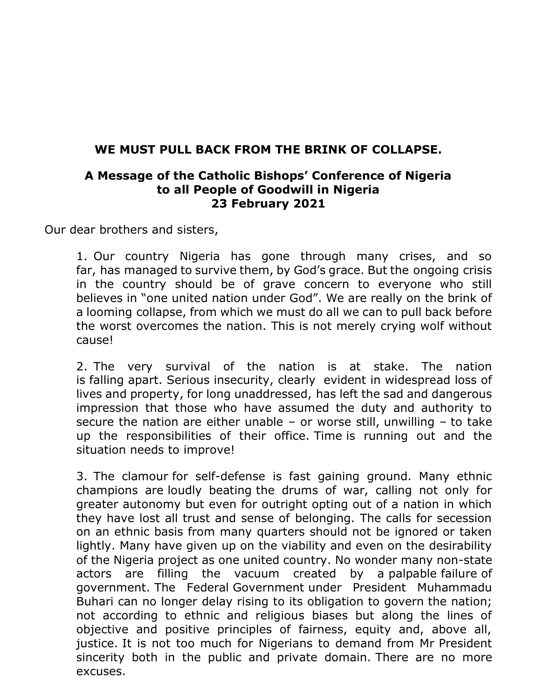## **WE MUST PULL BACK FROM THE BRINK OF COLLAPSE.**

## **A Message of the Catholic Bishops' Conference of Nigeria to all People of Goodwill in Nigeria 23 February 2021**

Our dear brothers and sisters,

1. Our country Nigeria has gone through many crises, and so far, has managed to survive them, by God's grace. But the ongoing crisis in the country should be of grave concern to everyone who still believes in "one united nation under God". We are really on the brink of a looming collapse, from which we must do all we can to pull back before the worst overcomes the nation. This is not merely crying wolf without cause!

2. The very survival of the nation is at stake. The nation is falling apart. Serious insecurity, clearly evident in widespread loss of lives and property, for long unaddressed, has left the sad and dangerous impression that those who have assumed the duty and authority to secure the nation are either unable  $-$  or worse still, unwilling  $-$  to take up the responsibilities of their office. Time is running out and the situation needs to improve!

3. The clamour for self-defense is fast gaining ground. Many ethnic champions are loudly beating the drums of war, calling not only for greater autonomy but even for outright opting out of a nation in which they have lost all trust and sense of belonging. The calls for secession on an ethnic basis from many quarters should not be ignored or taken lightly. Many have given up on the viability and even on the desirability of the Nigeria project as one united country. No wonder many non-state actors are filling the vacuum created by a palpable failure of government. The Federal Government under President Muhammadu Buhari can no longer delay rising to its obligation to govern the nation; not according to ethnic and religious biases but along the lines of objective and positive principles of fairness, equity and, above all, justice. It is not too much for Nigerians to demand from Mr President sincerity both in the public and private domain. There are no more excuses.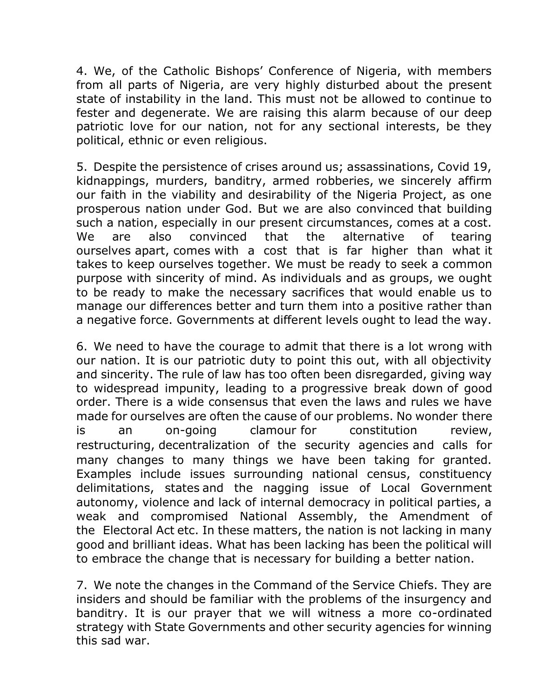4. We, of the Catholic Bishops' Conference of Nigeria, with members from all parts of Nigeria, are very highly disturbed about the present state of instability in the land. This must not be allowed to continue to fester and degenerate. We are raising this alarm because of our deep patriotic love for our nation, not for any sectional interests, be they political, ethnic or even religious.

5. Despite the persistence of crises around us; assassinations, Covid 19, kidnappings, murders, banditry, armed robberies, we sincerely affirm our faith in the viability and desirability of the Nigeria Project, as one prosperous nation under God. But we are also convinced that building such a nation, especially in our present circumstances, comes at a cost. We are also convinced that the alternative of tearing ourselves apart, comes with a cost that is far higher than what it takes to keep ourselves together. We must be ready to seek a common purpose with sincerity of mind. As individuals and as groups, we ought to be ready to make the necessary sacrifices that would enable us to manage our differences better and turn them into a positive rather than a negative force. Governments at different levels ought to lead the way.

6. We need to have the courage to admit that there is a lot wrong with our nation. It is our patriotic duty to point this out, with all objectivity and sincerity. The rule of law has too often been disregarded, giving way to widespread impunity, leading to a progressive break down of good order. There is a wide consensus that even the laws and rules we have made for ourselves are often the cause of our problems. No wonder there is an on-going clamour for constitution review, restructuring, decentralization of the security agencies and calls for many changes to many things we have been taking for granted. Examples include issues surrounding national census, constituency delimitations, states and the nagging issue of Local Government autonomy, violence and lack of internal democracy in political parties, a weak and compromised National Assembly, the Amendment of the Electoral Act etc. In these matters, the nation is not lacking in many good and brilliant ideas. What has been lacking has been the political will to embrace the change that is necessary for building a better nation.

7. We note the changes in the Command of the Service Chiefs. They are insiders and should be familiar with the problems of the insurgency and banditry. It is our prayer that we will witness a more co-ordinated strategy with State Governments and other security agencies for winning this sad war.